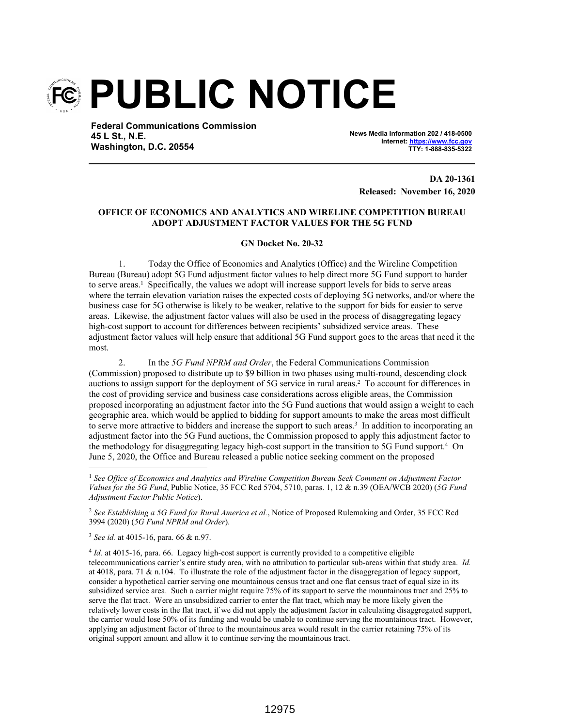

**Federal Communications Commission 45 L St., N.E. Washington, D.C. 20554**

**News Media Information 202 / 418-0500 Internet: https://www.fcc.gov TTY: 1-888-835-5322**

**DA 20-1361 Released: November 16, 2020**

## **OFFICE OF ECONOMICS AND ANALYTICS AND WIRELINE COMPETITION BUREAU ADOPT ADJUSTMENT FACTOR VALUES FOR THE 5G FUND**

## **GN Docket No. 20-32**

1. Today the Office of Economics and Analytics (Office) and the Wireline Competition Bureau (Bureau) adopt 5G Fund adjustment factor values to help direct more 5G Fund support to harder to serve areas.<sup>1</sup> Specifically, the values we adopt will increase support levels for bids to serve areas where the terrain elevation variation raises the expected costs of deploying 5G networks, and/or where the business case for 5G otherwise is likely to be weaker, relative to the support for bids for easier to serve areas. Likewise, the adjustment factor values will also be used in the process of disaggregating legacy high-cost support to account for differences between recipients' subsidized service areas. These adjustment factor values will help ensure that additional 5G Fund support goes to the areas that need it the most.

2. In the *5G Fund NPRM and Order*, the Federal Communications Commission (Commission) proposed to distribute up to \$9 billion in two phases using multi-round, descending clock auctions to assign support for the deployment of 5G service in rural areas.<sup>2</sup> To account for differences in the cost of providing service and business case considerations across eligible areas, the Commission proposed incorporating an adjustment factor into the 5G Fund auctions that would assign a weight to each geographic area, which would be applied to bidding for support amounts to make the areas most difficult to serve more attractive to bidders and increase the support to such areas.<sup>3</sup> In addition to incorporating an adjustment factor into the 5G Fund auctions, the Commission proposed to apply this adjustment factor to the methodology for disaggregating legacy high-cost support in the transition to 5G Fund support.<sup>4</sup> On June 5, 2020, the Office and Bureau released a public notice seeking comment on the proposed

<sup>2</sup> *See Establishing a 5G Fund for Rural America et al.*, Notice of Proposed Rulemaking and Order, 35 FCC Rcd 3994 (2020) (*5G Fund NPRM and Order*).

<sup>3</sup> *See id.* at 4015-16, para. 66 & n.97.

4 *Id.* at 4015-16, para. 66. Legacy high-cost support is currently provided to a competitive eligible telecommunications carrier's entire study area, with no attribution to particular sub-areas within that study area. *Id.* at 4018, para. 71  $\&$  n.104. To illustrate the role of the adjustment factor in the disaggregation of legacy support, consider a hypothetical carrier serving one mountainous census tract and one flat census tract of equal size in its subsidized service area. Such a carrier might require 75% of its support to serve the mountainous tract and 25% to serve the flat tract. Were an unsubsidized carrier to enter the flat tract, which may be more likely given the relatively lower costs in the flat tract, if we did not apply the adjustment factor in calculating disaggregated support, the carrier would lose 50% of its funding and would be unable to continue serving the mountainous tract. However, applying an adjustment factor of three to the mountainous area would result in the carrier retaining 75% of its original support amount and allow it to continue serving the mountainous tract.

<sup>1</sup> *See Office of Economics and Analytics and Wireline Competition Bureau Seek Comment on Adjustment Factor Values for the 5G Fund*, Public Notice, 35 FCC Rcd 5704, 5710, paras. 1, 12 & n.39 (OEA/WCB 2020) (*5G Fund Adjustment Factor Public Notice*).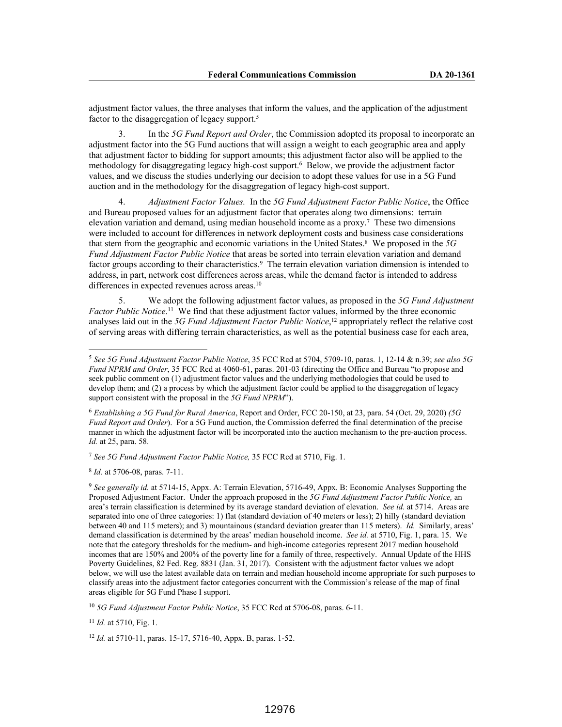adjustment factor values, the three analyses that inform the values, and the application of the adjustment factor to the disaggregation of legacy support.<sup>5</sup>

3. In the *5G Fund Report and Order*, the Commission adopted its proposal to incorporate an adjustment factor into the 5G Fund auctions that will assign a weight to each geographic area and apply that adjustment factor to bidding for support amounts; this adjustment factor also will be applied to the methodology for disaggregating legacy high-cost support.<sup>6</sup> Below, we provide the adjustment factor values, and we discuss the studies underlying our decision to adopt these values for use in a 5G Fund auction and in the methodology for the disaggregation of legacy high-cost support.

4. *Adjustment Factor Values.* In the *5G Fund Adjustment Factor Public Notice*, the Office and Bureau proposed values for an adjustment factor that operates along two dimensions: terrain elevation variation and demand, using median household income as a proxy.<sup>7</sup> These two dimensions were included to account for differences in network deployment costs and business case considerations that stem from the geographic and economic variations in the United States.<sup>8</sup> We proposed in the *5G Fund Adjustment Factor Public Notice* that areas be sorted into terrain elevation variation and demand factor groups according to their characteristics.<sup>9</sup> The terrain elevation variation dimension is intended to address, in part, network cost differences across areas, while the demand factor is intended to address differences in expected revenues across areas.<sup>10</sup>

5. We adopt the following adjustment factor values, as proposed in the *5G Fund Adjustment*  Factor Public Notice.<sup>11</sup> We find that these adjustment factor values, informed by the three economic analyses laid out in the *5G Fund Adjustment Factor Public Notice*, <sup>12</sup> appropriately reflect the relative cost of serving areas with differing terrain characteristics, as well as the potential business case for each area,

<sup>7</sup> *See 5G Fund Adjustment Factor Public Notice,* 35 FCC Rcd at 5710, Fig. 1.

8 *Id.* at 5706-08, paras. 7-11.

<sup>10</sup> *5G Fund Adjustment Factor Public Notice*, 35 FCC Rcd at 5706-08, paras. 6-11.

<sup>11</sup> *Id.* at 5710, Fig. 1.

<sup>12</sup> *Id.* at 5710-11, paras. 15-17, 5716-40, Appx. B, paras. 1-52.

<sup>5</sup> *See 5G Fund Adjustment Factor Public Notice*, 35 FCC Rcd at 5704, 5709-10, paras. 1, 12-14 & n.39; *see also 5G Fund NPRM and Order*, 35 FCC Rcd at 4060-61, paras. 201-03 (directing the Office and Bureau "to propose and seek public comment on (1) adjustment factor values and the underlying methodologies that could be used to develop them; and (2) a process by which the adjustment factor could be applied to the disaggregation of legacy support consistent with the proposal in the *5G Fund NPRM*").

<sup>6</sup> *Establishing a 5G Fund for Rural America*, Report and Order, FCC 20-150, at 23, para. 54 (Oct. 29, 2020) *(5G Fund Report and Order*). For a 5G Fund auction, the Commission deferred the final determination of the precise manner in which the adjustment factor will be incorporated into the auction mechanism to the pre-auction process. *Id.* at 25, para. 58.

<sup>9</sup> *See generally id.* at 5714-15, Appx. A: Terrain Elevation, 5716-49, Appx. B: Economic Analyses Supporting the Proposed Adjustment Factor. Under the approach proposed in the *5G Fund Adjustment Factor Public Notice,* an area's terrain classification is determined by its average standard deviation of elevation. *See id.* at 5714. Areas are separated into one of three categories: 1) flat (standard deviation of 40 meters or less); 2) hilly (standard deviation between 40 and 115 meters); and 3) mountainous (standard deviation greater than 115 meters). *Id.* Similarly, areas' demand classification is determined by the areas' median household income. *See id.* at 5710, Fig. 1, para. 15. We note that the category thresholds for the medium- and high-income categories represent 2017 median household incomes that are 150% and 200% of the poverty line for a family of three, respectively. Annual Update of the HHS Poverty Guidelines, 82 Fed. Reg. 8831 (Jan. 31, 2017). Consistent with the adjustment factor values we adopt below, we will use the latest available data on terrain and median household income appropriate for such purposes to classify areas into the adjustment factor categories concurrent with the Commission's release of the map of final areas eligible for 5G Fund Phase I support.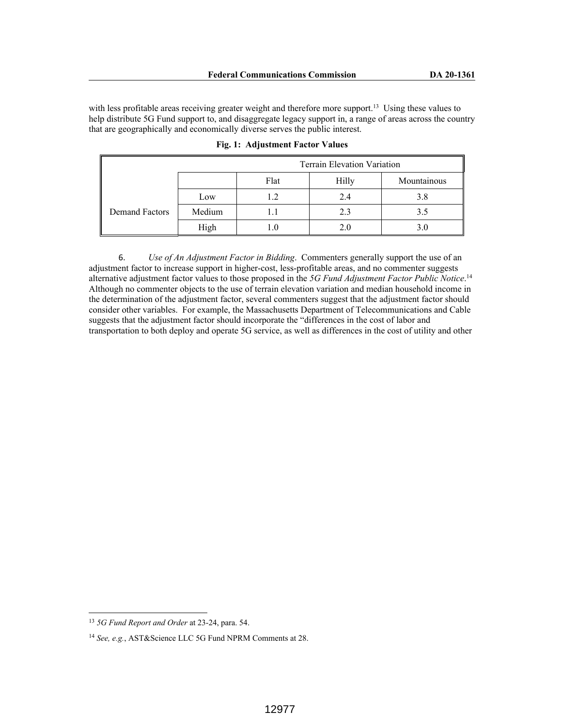with less profitable areas receiving greater weight and therefore more support.<sup>13</sup> Using these values to help distribute 5G Fund support to, and disaggregate legacy support in, a range of areas across the country that are geographically and economically diverse serves the public interest.

|                       | <b>Terrain Elevation Variation</b> |      |       |             |
|-----------------------|------------------------------------|------|-------|-------------|
|                       |                                    | Flat | Hilly | Mountainous |
| <b>Demand Factors</b> | Low                                |      | 2.4   | 3.8         |
|                       | Medium                             |      | 2.3   | 3.5         |
|                       | High                               |      | 2.0   | 3.0         |

**Fig. 1: Adjustment Factor Values**

6. *Use of An Adjustment Factor in Bidding*. Commenters generally support the use of an adjustment factor to increase support in higher-cost, less-profitable areas, and no commenter suggests alternative adjustment factor values to those proposed in the *5G Fund Adjustment Factor Public Notice*. 14 Although no commenter objects to the use of terrain elevation variation and median household income in the determination of the adjustment factor, several commenters suggest that the adjustment factor should consider other variables. For example, the Massachusetts Department of Telecommunications and Cable suggests that the adjustment factor should incorporate the "differences in the cost of labor and transportation to both deploy and operate 5G service, as well as differences in the cost of utility and other

<sup>13</sup> *5G Fund Report and Order* at 23-24, para. 54.

<sup>14</sup> *See, e.g.*, AST&Science LLC 5G Fund NPRM Comments at 28.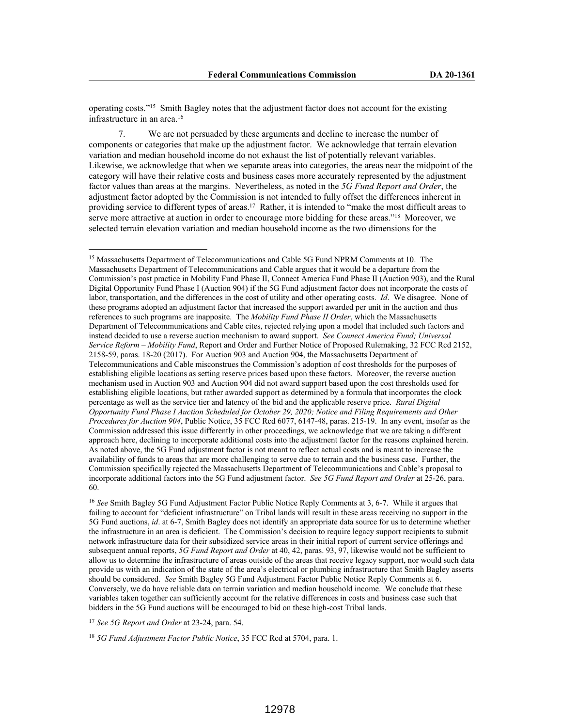operating costs."<sup>15</sup> Smith Bagley notes that the adjustment factor does not account for the existing infrastructure in an area.<sup>16</sup>

7. We are not persuaded by these arguments and decline to increase the number of components or categories that make up the adjustment factor. We acknowledge that terrain elevation variation and median household income do not exhaust the list of potentially relevant variables. Likewise, we acknowledge that when we separate areas into categories, the areas near the midpoint of the category will have their relative costs and business cases more accurately represented by the adjustment factor values than areas at the margins. Nevertheless, as noted in the *5G Fund Report and Order*, the adjustment factor adopted by the Commission is not intended to fully offset the differences inherent in providing service to different types of areas.<sup>17</sup> Rather, it is intended to "make the most difficult areas to serve more attractive at auction in order to encourage more bidding for these areas."<sup>18</sup> Moreover, we selected terrain elevation variation and median household income as the two dimensions for the

<sup>16</sup> *See* Smith Bagley 5G Fund Adjustment Factor Public Notice Reply Comments at 3, 6-7. While it argues that failing to account for "deficient infrastructure" on Tribal lands will result in these areas receiving no support in the 5G Fund auctions, *id*. at 6-7, Smith Bagley does not identify an appropriate data source for us to determine whether the infrastructure in an area is deficient. The Commission's decision to require legacy support recipients to submit network infrastructure data for their subsidized service areas in their initial report of current service offerings and subsequent annual reports, *5G Fund Report and Order* at 40, 42, paras. 93, 97, likewise would not be sufficient to allow us to determine the infrastructure of areas outside of the areas that receive legacy support, nor would such data provide us with an indication of the state of the area's electrical or plumbing infrastructure that Smith Bagley asserts should be considered. *See* Smith Bagley 5G Fund Adjustment Factor Public Notice Reply Comments at 6. Conversely, we do have reliable data on terrain variation and median household income. We conclude that these variables taken together can sufficiently account for the relative differences in costs and business case such that bidders in the 5G Fund auctions will be encouraged to bid on these high-cost Tribal lands.

<sup>17</sup> *See 5G Report and Order* at 23-24, para. 54.

<sup>18</sup> *5G Fund Adjustment Factor Public Notice*, 35 FCC Rcd at 5704, para. 1.

<sup>&</sup>lt;sup>15</sup> Massachusetts Department of Telecommunications and Cable 5G Fund NPRM Comments at 10. The Massachusetts Department of Telecommunications and Cable argues that it would be a departure from the Commission's past practice in Mobility Fund Phase II, Connect America Fund Phase II (Auction 903), and the Rural Digital Opportunity Fund Phase I (Auction 904) if the 5G Fund adjustment factor does not incorporate the costs of labor, transportation, and the differences in the cost of utility and other operating costs. *Id*. We disagree. None of these programs adopted an adjustment factor that increased the support awarded per unit in the auction and thus references to such programs are inapposite. The *Mobility Fund Phase II Order*, which the Massachusetts Department of Telecommunications and Cable cites, rejected relying upon a model that included such factors and instead decided to use a reverse auction mechanism to award support. *See Connect America Fund; Universal Service Reform – Mobility Fund*, Report and Order and Further Notice of Proposed Rulemaking, 32 FCC Rcd 2152, 2158-59, paras. 18-20 (2017). For Auction 903 and Auction 904, the Massachusetts Department of Telecommunications and Cable misconstrues the Commission's adoption of cost thresholds for the purposes of establishing eligible locations as setting reserve prices based upon these factors. Moreover, the reverse auction mechanism used in Auction 903 and Auction 904 did not award support based upon the cost thresholds used for establishing eligible locations, but rather awarded support as determined by a formula that incorporates the clock percentage as well as the service tier and latency of the bid and the applicable reserve price. *Rural Digital Opportunity Fund Phase I Auction Scheduled for October 29, 2020; Notice and Filing Requirements and Other Procedures for Auction 904*, Public Notice, 35 FCC Rcd 6077, 6147-48, paras. 215-19. In any event, insofar as the Commission addressed this issue differently in other proceedings, we acknowledge that we are taking a different approach here, declining to incorporate additional costs into the adjustment factor for the reasons explained herein. As noted above, the 5G Fund adjustment factor is not meant to reflect actual costs and is meant to increase the availability of funds to areas that are more challenging to serve due to terrain and the business case. Further, the Commission specifically rejected the Massachusetts Department of Telecommunications and Cable's proposal to incorporate additional factors into the 5G Fund adjustment factor. *See 5G Fund Report and Order* at 25-26, para. 60.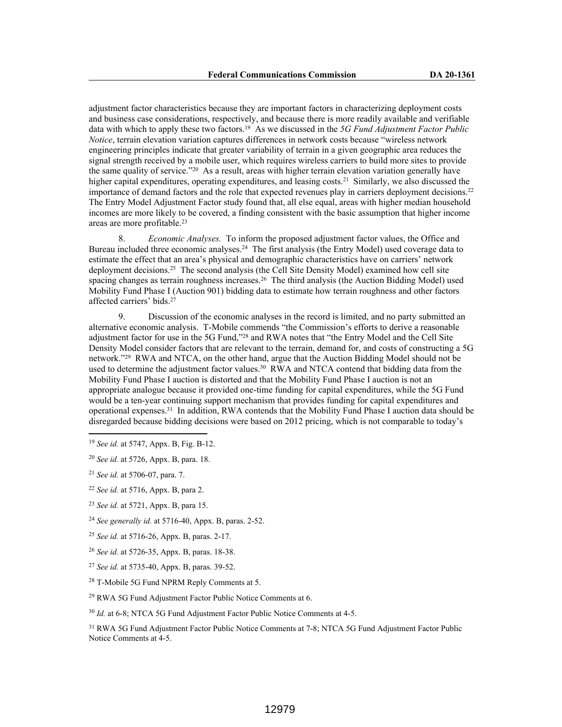adjustment factor characteristics because they are important factors in characterizing deployment costs and business case considerations, respectively, and because there is more readily available and verifiable data with which to apply these two factors.<sup>19</sup> As we discussed in the *5G Fund Adjustment Factor Public Notice*, terrain elevation variation captures differences in network costs because "wireless network engineering principles indicate that greater variability of terrain in a given geographic area reduces the signal strength received by a mobile user, which requires wireless carriers to build more sites to provide the same quality of service."<sup>20</sup> As a result, areas with higher terrain elevation variation generally have higher capital expenditures, operating expenditures, and leasing costs.<sup>21</sup> Similarly, we also discussed the importance of demand factors and the role that expected revenues play in carriers deployment decisions.<sup>22</sup> The Entry Model Adjustment Factor study found that, all else equal, areas with higher median household incomes are more likely to be covered, a finding consistent with the basic assumption that higher income areas are more profitable.<sup>23</sup>

8. *Economic Analyses.* To inform the proposed adjustment factor values, the Office and Bureau included three economic analyses.<sup>24</sup> The first analysis (the Entry Model) used coverage data to estimate the effect that an area's physical and demographic characteristics have on carriers' network deployment decisions.<sup>25</sup> The second analysis (the Cell Site Density Model) examined how cell site spacing changes as terrain roughness increases.<sup>26</sup> The third analysis (the Auction Bidding Model) used Mobility Fund Phase I (Auction 901) bidding data to estimate how terrain roughness and other factors affected carriers' bids.<sup>27</sup>

9. Discussion of the economic analyses in the record is limited, and no party submitted an alternative economic analysis. T-Mobile commends "the Commission's efforts to derive a reasonable adjustment factor for use in the 5G Fund,"<sup>28</sup> and RWA notes that "the Entry Model and the Cell Site Density Model consider factors that are relevant to the terrain, demand for, and costs of constructing a 5G network."<sup>29</sup> RWA and NTCA, on the other hand, argue that the Auction Bidding Model should not be used to determine the adjustment factor values.<sup>30</sup> RWA and NTCA contend that bidding data from the Mobility Fund Phase I auction is distorted and that the Mobility Fund Phase I auction is not an appropriate analogue because it provided one-time funding for capital expenditures, while the 5G Fund would be a ten-year continuing support mechanism that provides funding for capital expenditures and operational expenses.<sup>31</sup> In addition, RWA contends that the Mobility Fund Phase I auction data should be disregarded because bidding decisions were based on 2012 pricing, which is not comparable to today's

- <sup>27</sup> *See id.* at 5735-40, Appx. B, paras. 39-52.
- <sup>28</sup> T-Mobile 5G Fund NPRM Reply Comments at 5.

<sup>29</sup> RWA 5G Fund Adjustment Factor Public Notice Comments at 6.

<sup>30</sup> *Id.* at 6-8; NTCA 5G Fund Adjustment Factor Public Notice Comments at 4-5.

<sup>31</sup> RWA 5G Fund Adjustment Factor Public Notice Comments at 7-8; NTCA 5G Fund Adjustment Factor Public Notice Comments at 4-5.

<sup>19</sup> *See id.* at 5747, Appx. B, Fig. B-12.

<sup>20</sup> *See id.* at 5726, Appx. B, para. 18.

<sup>21</sup> *See id.* at 5706-07, para. 7.

<sup>22</sup> *See id.* at 5716, Appx. B, para 2.

<sup>23</sup> *See id.* at 5721, Appx. B, para 15.

<sup>24</sup> *See generally id.* at 5716-40, Appx. B, paras. 2-52.

<sup>25</sup> *See id.* at 5716-26, Appx. B, paras. 2-17.

<sup>26</sup> *See id.* at 5726-35, Appx. B, paras. 18-38.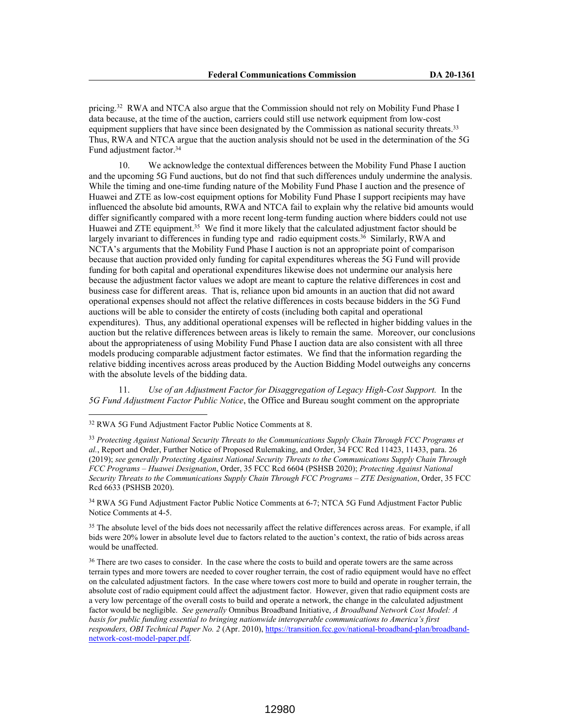pricing.<sup>32</sup> RWA and NTCA also argue that the Commission should not rely on Mobility Fund Phase I data because, at the time of the auction, carriers could still use network equipment from low-cost equipment suppliers that have since been designated by the Commission as national security threats.<sup>33</sup> Thus, RWA and NTCA argue that the auction analysis should not be used in the determination of the 5G Fund adjustment factor.<sup>34</sup>

10. We acknowledge the contextual differences between the Mobility Fund Phase I auction and the upcoming 5G Fund auctions, but do not find that such differences unduly undermine the analysis. While the timing and one-time funding nature of the Mobility Fund Phase I auction and the presence of Huawei and ZTE as low-cost equipment options for Mobility Fund Phase I support recipients may have influenced the absolute bid amounts, RWA and NTCA fail to explain why the relative bid amounts would differ significantly compared with a more recent long-term funding auction where bidders could not use Huawei and ZTE equipment.<sup>35</sup> We find it more likely that the calculated adjustment factor should be largely invariant to differences in funding type and radio equipment costs.<sup>36</sup> Similarly, RWA and NCTA's arguments that the Mobility Fund Phase I auction is not an appropriate point of comparison because that auction provided only funding for capital expenditures whereas the 5G Fund will provide funding for both capital and operational expenditures likewise does not undermine our analysis here because the adjustment factor values we adopt are meant to capture the relative differences in cost and business case for different areas. That is, reliance upon bid amounts in an auction that did not award operational expenses should not affect the relative differences in costs because bidders in the 5G Fund auctions will be able to consider the entirety of costs (including both capital and operational expenditures). Thus, any additional operational expenses will be reflected in higher bidding values in the auction but the relative differences between areas is likely to remain the same. Moreover, our conclusions about the appropriateness of using Mobility Fund Phase I auction data are also consistent with all three models producing comparable adjustment factor estimates. We find that the information regarding the relative bidding incentives across areas produced by the Auction Bidding Model outweighs any concerns with the absolute levels of the bidding data.

11. *Use of an Adjustment Factor for Disaggregation of Legacy High-Cost Support.* In the *5G Fund Adjustment Factor Public Notice*, the Office and Bureau sought comment on the appropriate

<sup>34</sup> RWA 5G Fund Adjustment Factor Public Notice Comments at 6-7; NTCA 5G Fund Adjustment Factor Public Notice Comments at 4-5.

<sup>35</sup> The absolute level of the bids does not necessarily affect the relative differences across areas. For example, if all bids were 20% lower in absolute level due to factors related to the auction's context, the ratio of bids across areas would be unaffected.

<sup>36</sup> There are two cases to consider. In the case where the costs to build and operate towers are the same across terrain types and more towers are needed to cover rougher terrain, the cost of radio equipment would have no effect on the calculated adjustment factors. In the case where towers cost more to build and operate in rougher terrain, the absolute cost of radio equipment could affect the adjustment factor. However, given that radio equipment costs are a very low percentage of the overall costs to build and operate a network, the change in the calculated adjustment factor would be negligible. *See generally* Omnibus Broadband Initiative, *A Broadband Network Cost Model: A basis for public funding essential to bringing nationwide interoperable communications to America's first responders, OBI Technical Paper No. 2* (Apr. 2010), https://transition.fcc.gov/national-broadband-plan/broadbandnetwork-cost-model-paper.pdf.

<sup>32</sup> RWA 5G Fund Adjustment Factor Public Notice Comments at 8.

<sup>33</sup> *Protecting Against National Security Threats to the Communications Supply Chain Through FCC Programs et al.*, Report and Order, Further Notice of Proposed Rulemaking, and Order, 34 FCC Rcd 11423, 11433, para. 26 (2019); *see generally Protecting Against National Security Threats to the Communications Supply Chain Through FCC Programs – Huawei Designation*, Order, 35 FCC Rcd 6604 (PSHSB 2020); *Protecting Against National Security Threats to the Communications Supply Chain Through FCC Programs – ZTE Designation*, Order, 35 FCC Rcd 6633 (PSHSB 2020).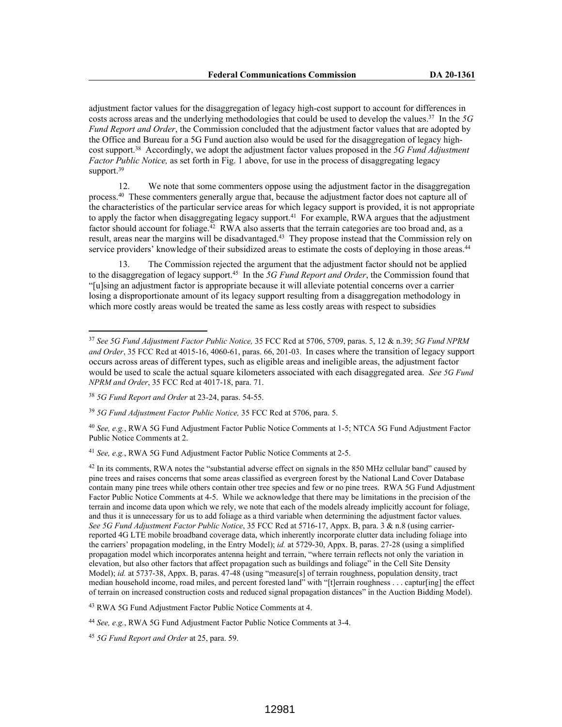adjustment factor values for the disaggregation of legacy high-cost support to account for differences in costs across areas and the underlying methodologies that could be used to develop the values.<sup>37</sup> In the *5G Fund Report and Order*, the Commission concluded that the adjustment factor values that are adopted by the Office and Bureau for a 5G Fund auction also would be used for the disaggregation of legacy highcost support.<sup>38</sup> Accordingly, we adopt the adjustment factor values proposed in the *5G Fund Adjustment Factor Public Notice,* as set forth in Fig. 1 above, for use in the process of disaggregating legacy support.<sup>39</sup>

12. We note that some commenters oppose using the adjustment factor in the disaggregation process.<sup>40</sup> These commenters generally argue that, because the adjustment factor does not capture all of the characteristics of the particular service areas for which legacy support is provided, it is not appropriate to apply the factor when disaggregating legacy support.<sup>41</sup> For example, RWA argues that the adjustment factor should account for foliage.<sup>42</sup> RWA also asserts that the terrain categories are too broad and, as a result, areas near the margins will be disadvantaged.<sup>43</sup> They propose instead that the Commission rely on service providers' knowledge of their subsidized areas to estimate the costs of deploying in those areas.<sup>44</sup>

13. The Commission rejected the argument that the adjustment factor should not be applied to the disaggregation of legacy support.<sup>45</sup> In the *5G Fund Report and Order*, the Commission found that "[u]sing an adjustment factor is appropriate because it will alleviate potential concerns over a carrier losing a disproportionate amount of its legacy support resulting from a disaggregation methodology in which more costly areas would be treated the same as less costly areas with respect to subsidies

<sup>41</sup> *See, e.g.*, RWA 5G Fund Adjustment Factor Public Notice Comments at 2-5.

<sup>43</sup> RWA 5G Fund Adjustment Factor Public Notice Comments at 4.

<sup>44</sup> *See, e.g.*, RWA 5G Fund Adjustment Factor Public Notice Comments at 3-4.

<sup>45</sup> *5G Fund Report and Order* at 25, para. 59.

<sup>37</sup> *See 5G Fund Adjustment Factor Public Notice,* 35 FCC Rcd at 5706, 5709, paras. 5, 12 & n.39; *5G Fund NPRM and Order*, 35 FCC Rcd at 4015-16, 4060-61, paras. 66, 201-03. In cases where the transition of legacy support occurs across areas of different types, such as eligible areas and ineligible areas, the adjustment factor would be used to scale the actual square kilometers associated with each disaggregated area. *See 5G Fund NPRM and Order*, 35 FCC Rcd at 4017-18, para. 71.

<sup>38</sup> *5G Fund Report and Order* at 23-24, paras. 54-55.

<sup>39</sup> *5G Fund Adjustment Factor Public Notice,* 35 FCC Rcd at 5706, para. 5.

<sup>40</sup> *See, e.g.*, RWA 5G Fund Adjustment Factor Public Notice Comments at 1-5; NTCA 5G Fund Adjustment Factor Public Notice Comments at 2.

<sup>&</sup>lt;sup>42</sup> In its comments, RWA notes the "substantial adverse effect on signals in the 850 MHz cellular band" caused by pine trees and raises concerns that some areas classified as evergreen forest by the National Land Cover Database contain many pine trees while others contain other tree species and few or no pine trees. RWA 5G Fund Adjustment Factor Public Notice Comments at 4-5. While we acknowledge that there may be limitations in the precision of the terrain and income data upon which we rely, we note that each of the models already implicitly account for foliage, and thus it is unnecessary for us to add foliage as a third variable when determining the adjustment factor values. *See 5G Fund Adjustment Factor Public Notice*, 35 FCC Rcd at 5716-17, Appx. B, para. 3 & n.8 (using carrierreported 4G LTE mobile broadband coverage data, which inherently incorporate clutter data including foliage into the carriers' propagation modeling, in the Entry Model); *id.* at 5729-30, Appx. B, paras. 27-28 (using a simplified propagation model which incorporates antenna height and terrain, "where terrain reflects not only the variation in elevation, but also other factors that affect propagation such as buildings and foliage" in the Cell Site Density Model); *id.* at 5737-38, Appx. B, paras. 47-48 (using "measure[s] of terrain roughness, population density, tract median household income, road miles, and percent forested land" with "[t]errain roughness . . . captur[ing] the effect of terrain on increased construction costs and reduced signal propagation distances" in the Auction Bidding Model).